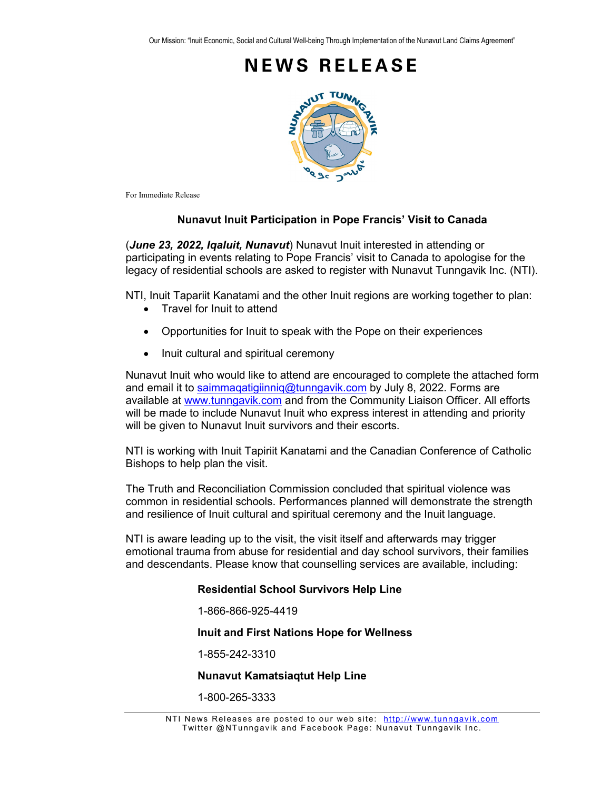

For Immediate Release

### **Nunavut Inuit Participation in Pope Francis' Visit to Canada**

(*June 23, 2022, Iqaluit, Nunavut*) Nunavut Inuit interested in attending or participating in events relating to Pope Francis' visit to Canada to apologise for the legacy of residential schools are asked to register with Nunavut Tunngavik Inc. (NTI).

NTI, Inuit Tapariit Kanatami and the other Inuit regions are working together to plan:

- Travel for Inuit to attend
- Opportunities for Inuit to speak with the Pope on their experiences
- Inuit cultural and spiritual ceremony

Nunavut Inuit who would like to attend are encouraged to complete the attached form and email it to saimmagatigiinniq@tunngavik.com by July 8, 2022. Forms are available at [www.tunngavik.com](http://www.tunngavik.com/) and from the Community Liaison Officer. All efforts will be made to include Nunavut Inuit who express interest in attending and priority will be given to Nunavut Inuit survivors and their escorts.

NTI is working with Inuit Tapiriit Kanatami and the Canadian Conference of Catholic Bishops to help plan the visit.

The Truth and Reconciliation Commission concluded that spiritual violence was common in residential schools. Performances planned will demonstrate the strength and resilience of Inuit cultural and spiritual ceremony and the Inuit language.

NTI is aware leading up to the visit, the visit itself and afterwards may trigger emotional trauma from abuse for residential and day school survivors, their families and descendants. Please know that counselling services are available, including:

#### **Residential School Survivors Help Line**

1-866-866-925-4419

**Inuit and First Nations Hope for Wellness**

1-855-242-3310

#### **Nunavut Kamatsiaqtut Help Line**

1-800-265-3333

NTI News Releases are posted to our web site: [http://www.tunngavik.com](http://www.tunngavik.com/) Twitter @NTunngavik and Facebook Page: Nunavut Tunngavik Inc.